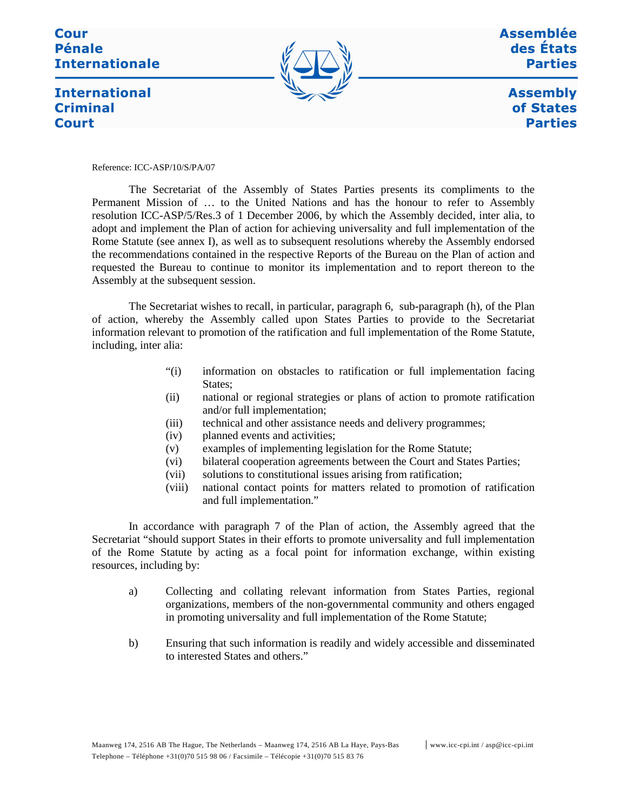### Cour **Pénale Internationale**



Assemblée des États **Parties** 

**International Criminal Court** 

**Assembly** of States **Parties** 

Reference: ICC-ASP/10/S/PA/07

The Secretariat of the Assembly of States Parties presents its compliments to the Permanent Mission of … to the United Nations and has the honour to refer to Assembly resolution ICC-ASP/5/Res.3 of 1 December 2006, by which the Assembly decided, inter alia*,* to adopt and implement the Plan of action for achieving universality and full implementation of the Rome Statute (see annex I), as well as to subsequent resolutions whereby the Assembly endorsed the recommendations contained in the respective Reports of the Bureau on the Plan of action and requested the Bureau to continue to monitor its implementation and to report thereon to the Assembly at the subsequent session.

The Secretariat wishes to recall, in particular, paragraph 6, sub-paragraph (h), of the Plan of action, whereby the Assembly called upon States Parties to provide to the Secretariat information relevant to promotion of the ratification and full implementation of the Rome Statute, including, inter alia:

- "(i) information on obstacles to ratification or full implementation facing States;
- (ii) national or regional strategies or plans of action to promote ratification and/or full implementation;
- (iii) technical and other assistance needs and delivery programmes;
- (iv) planned events and activities;
- (v) examples of implementing legislation for the Rome Statute;
- (vi) bilateral cooperation agreements between the Court and States Parties;
- (vii) solutions to constitutional issues arising from ratification;
- (viii) national contact points for matters related to promotion of ratification and full implementation."

In accordance with paragraph 7 of the Plan of action, the Assembly agreed that the Secretariat "should support States in their efforts to promote universality and full implementation of the Rome Statute by acting as a focal point for information exchange, within existing resources, including by:

- a) Collecting and collating relevant information from States Parties, regional organizations, members of the non-governmental community and others engaged in promoting universality and full implementation of the Rome Statute;
- b) Ensuring that such information is readily and widely accessible and disseminated to interested States and others."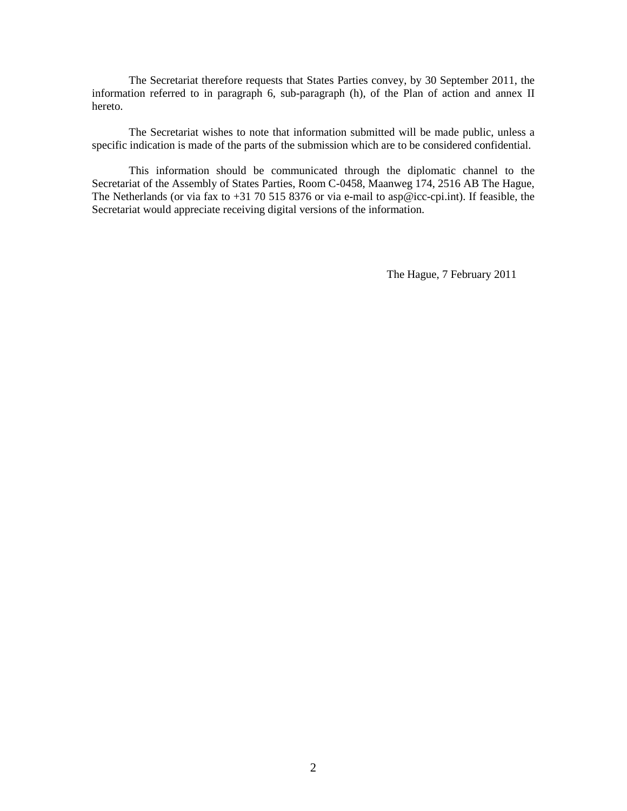The Secretariat therefore requests that States Parties convey, by 30 September 2011, the information referred to in paragraph 6, sub-paragraph (h), of the Plan of action and annex II hereto.

The Secretariat wishes to note that information submitted will be made public, unless a specific indication is made of the parts of the submission which are to be considered confidential.

This information should be communicated through the diplomatic channel to the Secretariat of the Assembly of States Parties, Room C-0458, Maanweg 174, 2516 AB The Hague, The Netherlands (or via fax to +31 70 515 8376 or via e-mail to asp@icc-cpi.int). If feasible, the Secretariat would appreciate receiving digital versions of the information.

The Hague, 7 February 2011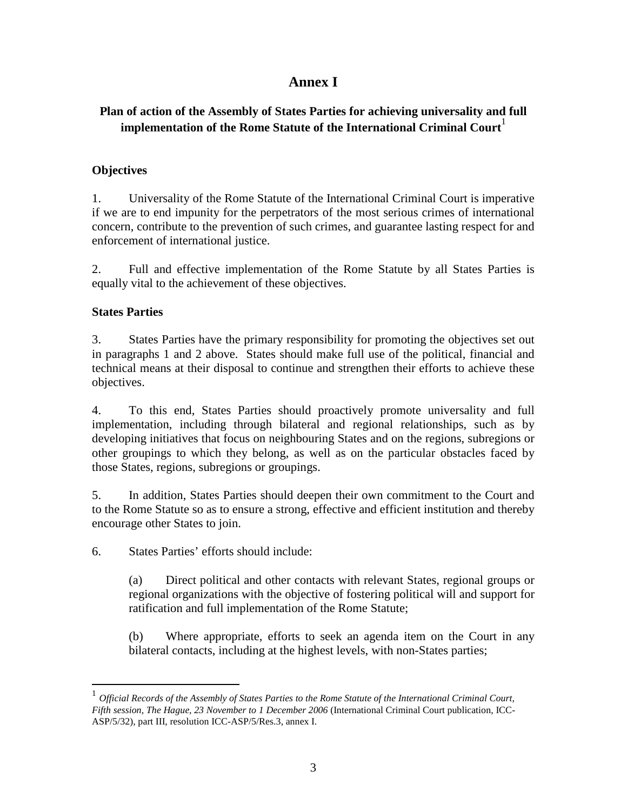# **Annex I**

# **Plan of action of the Assembly of States Parties for achieving universality and full implementation of the Rome Statute of the International Criminal Court**

## **Objectives**

1. Universality of the Rome Statute of the International Criminal Court is imperative if we are to end impunity for the perpetrators of the most serious crimes of international concern, contribute to the prevention of such crimes, and guarantee lasting respect for and enforcement of international justice.

2. Full and effective implementation of the Rome Statute by all States Parties is equally vital to the achievement of these objectives.

## **States Parties**

 $\overline{a}$ 

3. States Parties have the primary responsibility for promoting the objectives set out in paragraphs 1 and 2 above. States should make full use of the political, financial and technical means at their disposal to continue and strengthen their efforts to achieve these objectives.

4. To this end, States Parties should proactively promote universality and full implementation, including through bilateral and regional relationships, such as by developing initiatives that focus on neighbouring States and on the regions, subregions or other groupings to which they belong, as well as on the particular obstacles faced by those States, regions, subregions or groupings.

5. In addition, States Parties should deepen their own commitment to the Court and to the Rome Statute so as to ensure a strong, effective and efficient institution and thereby encourage other States to join.

6. States Parties' efforts should include:

(a) Direct political and other contacts with relevant States, regional groups or regional organizations with the objective of fostering political will and support for ratification and full implementation of the Rome Statute;

(b) Where appropriate, efforts to seek an agenda item on the Court in any bilateral contacts, including at the highest levels, with non-States parties;

<sup>&</sup>lt;sup>1</sup> Official Records of the Assembly of States Parties to the Rome Statute of the International Criminal Court, Fifth session, The Hague, 23 November to 1 December 2006 (International Criminal Court publication, ICC-ASP/5/32), part III, resolution ICC-ASP/5/Res.3, annex I.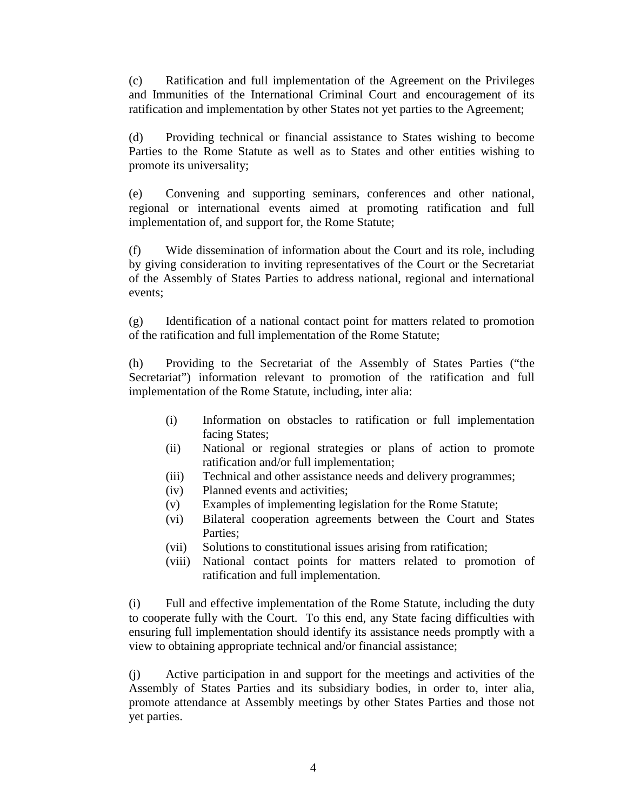(c) Ratification and full implementation of the Agreement on the Privileges and Immunities of the International Criminal Court and encouragement of its ratification and implementation by other States not yet parties to the Agreement;

(d) Providing technical or financial assistance to States wishing to become Parties to the Rome Statute as well as to States and other entities wishing to promote its universality;

(e) Convening and supporting seminars, conferences and other national, regional or international events aimed at promoting ratification and full implementation of, and support for, the Rome Statute;

(f) Wide dissemination of information about the Court and its role, including by giving consideration to inviting representatives of the Court or the Secretariat of the Assembly of States Parties to address national, regional and international events;

(g) Identification of a national contact point for matters related to promotion of the ratification and full implementation of the Rome Statute;

(h) Providing to the Secretariat of the Assembly of States Parties ("the Secretariat") information relevant to promotion of the ratification and full implementation of the Rome Statute, including, inter alia:

- (i) Information on obstacles to ratification or full implementation facing States;
- (ii) National or regional strategies or plans of action to promote ratification and/or full implementation;
- (iii) Technical and other assistance needs and delivery programmes;
- (iv) Planned events and activities;
- (v) Examples of implementing legislation for the Rome Statute;
- (vi) Bilateral cooperation agreements between the Court and States Parties;
- (vii) Solutions to constitutional issues arising from ratification;
- (viii) National contact points for matters related to promotion of ratification and full implementation.

(i) Full and effective implementation of the Rome Statute, including the duty to cooperate fully with the Court. To this end, any State facing difficulties with ensuring full implementation should identify its assistance needs promptly with a view to obtaining appropriate technical and/or financial assistance;

(j) Active participation in and support for the meetings and activities of the Assembly of States Parties and its subsidiary bodies, in order to, inter alia, promote attendance at Assembly meetings by other States Parties and those not yet parties.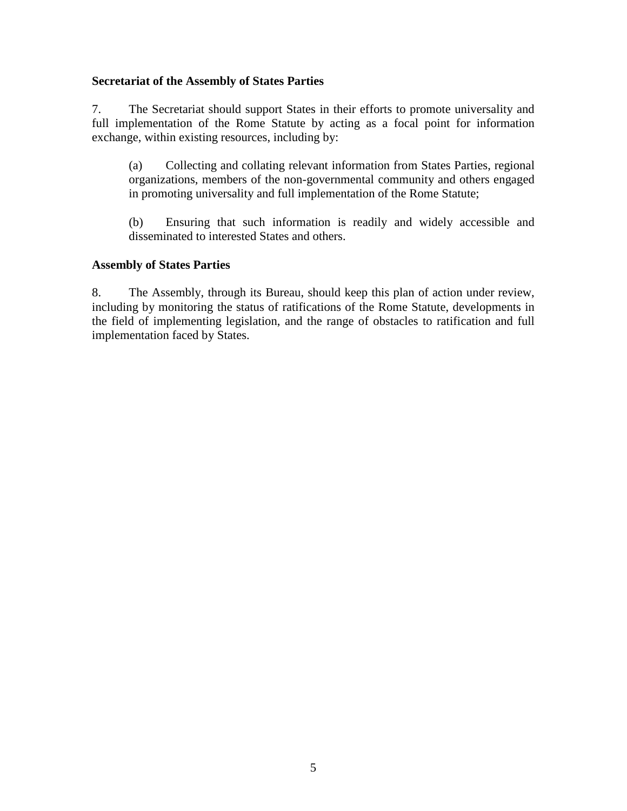#### **Secretariat of the Assembly of States Parties**

7. The Secretariat should support States in their efforts to promote universality and full implementation of the Rome Statute by acting as a focal point for information exchange, within existing resources, including by:

(a) Collecting and collating relevant information from States Parties, regional organizations, members of the non-governmental community and others engaged in promoting universality and full implementation of the Rome Statute;

(b) Ensuring that such information is readily and widely accessible and disseminated to interested States and others.

#### **Assembly of States Parties**

8. The Assembly, through its Bureau, should keep this plan of action under review, including by monitoring the status of ratifications of the Rome Statute, developments in the field of implementing legislation, and the range of obstacles to ratification and full implementation faced by States.